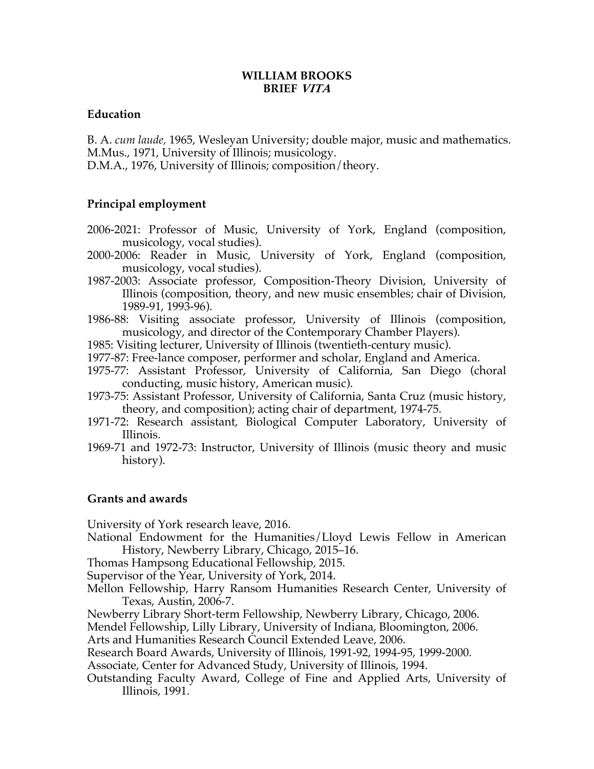# **WILLIAM BROOKS BRIEF VITA**

# **Education**

B. A. *cum laude,* 1965, Wesleyan University; double major, music and mathematics. M.Mus., 1971, University of Illinois; musicology. D.M.A., 1976, University of Illinois; composition/theory.

# **Principal employment**

- 2006-2021: Professor of Music, University of York, England (composition, musicology, vocal studies).
- 2000-2006: Reader in Music, University of York, England (composition, musicology, vocal studies).
- 1987-2003: Associate professor, Composition-Theory Division, University of Illinois (composition, theory, and new music ensembles; chair of Division, 1989-91, 1993-96).
- 1986-88: Visiting associate professor, University of Illinois (composition, musicology, and director of the Contemporary Chamber Players).
- 1985: Visiting lecturer, University of Illinois (twentieth-century music).
- 1977-87: Free-lance composer, performer and scholar, England and America.
- 1975-77: Assistant Professor, University of California, San Diego (choral conducting, music history, American music).
- 1973-75: Assistant Professor, University of California, Santa Cruz (music history, theory, and composition); acting chair of department, 1974-75.
- 1971-72: Research assistant, Biological Computer Laboratory, University of Illinois.
- 1969-71 and 1972-73: Instructor, University of Illinois (music theory and music history).

# **Grants and awards**

University of York research leave, 2016.

National Endowment for the Humanities/Lloyd Lewis Fellow in American History, Newberry Library, Chicago, 2015–16.

Thomas Hampsong Educational Fellowship, 2015.

Supervisor of the Year, University of York, 2014.

- Mellon Fellowship, Harry Ransom Humanities Research Center, University of Texas, Austin, 2006-7.
- Newberry Library Short-term Fellowship, Newberry Library, Chicago, 2006.

Mendel Fellowship, Lilly Library, University of Indiana, Bloomington, 2006.

Arts and Humanities Research Council Extended Leave, 2006.

Research Board Awards, University of Illinois, 1991-92, 1994-95, 1999-2000.

Associate, Center for Advanced Study, University of Illinois, 1994.

Outstanding Faculty Award, College of Fine and Applied Arts, University of Illinois, 1991.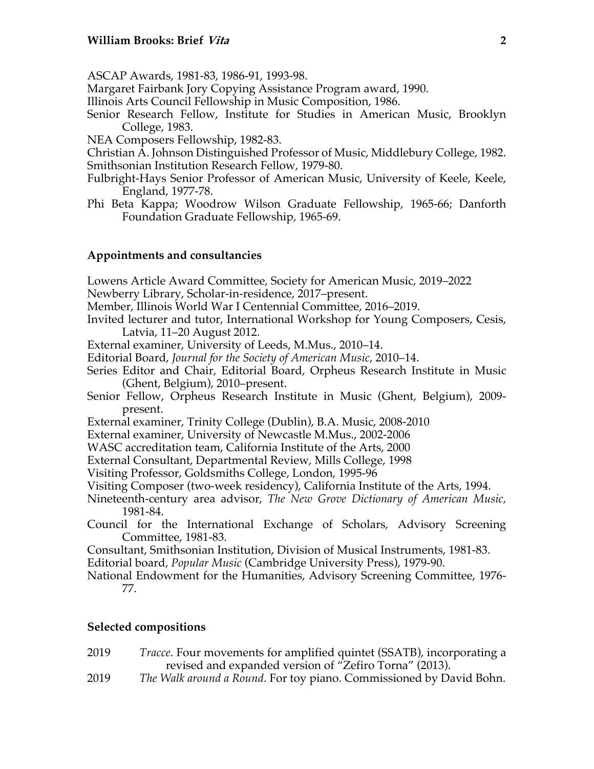ASCAP Awards, 1981-83, 1986-91, 1993-98.

Margaret Fairbank Jory Copying Assistance Program award, 1990.

Illinois Arts Council Fellowship in Music Composition, 1986.

Senior Research Fellow, Institute for Studies in American Music, Brooklyn College, 1983.

NEA Composers Fellowship, 1982-83.

Christian A. Johnson Distinguished Professor of Music, Middlebury College, 1982. Smithsonian Institution Research Fellow, 1979-80.

- Fulbright-Hays Senior Professor of American Music, University of Keele, Keele, England, 1977-78.
- Phi Beta Kappa; Woodrow Wilson Graduate Fellowship, 1965-66; Danforth Foundation Graduate Fellowship, 1965-69.

# **Appointments and consultancies**

Lowens Article Award Committee, Society for American Music, 2019–2022

Newberry Library, Scholar-in-residence, 2017–present.

Member, Illinois World War I Centennial Committee, 2016–2019.

- Invited lecturer and tutor, International Workshop for Young Composers, Cesis, Latvia, 11–20 August 2012.
- External examiner, University of Leeds, M.Mus., 2010–14.
- Editorial Board, *Journal for the Society of American Music*, 2010–14.
- Series Editor and Chair, Editorial Board, Orpheus Research Institute in Music (Ghent, Belgium), 2010–present.
- Senior Fellow, Orpheus Research Institute in Music (Ghent, Belgium), 2009 present.
- External examiner, Trinity College (Dublin), B.A. Music, 2008-2010

External examiner, University of Newcastle M.Mus., 2002-2006

WASC accreditation team, California Institute of the Arts, 2000

External Consultant, Departmental Review, Mills College, 1998

Visiting Professor, Goldsmiths College, London, 1995-96

- Visiting Composer (two-week residency), California Institute of the Arts, 1994.
- Nineteenth-century area advisor, *The New Grove Dictionary of American Music,* 1981-84.
- Council for the International Exchange of Scholars, Advisory Screening Committee, 1981-83.

Consultant, Smithsonian Institution, Division of Musical Instruments, 1981-83.

Editorial board, *Popular Music* (Cambridge University Press), 1979-90.

National Endowment for the Humanities, Advisory Screening Committee, 1976- 77.

### **Selected compositions**

- 2019 *Tracce*. Four movements for amplified quintet (SSATB), incorporating a revised and expanded version of "Zefiro Torna" (2013).
- 2019 *The Walk around a Round*. For toy piano. Commissioned by David Bohn.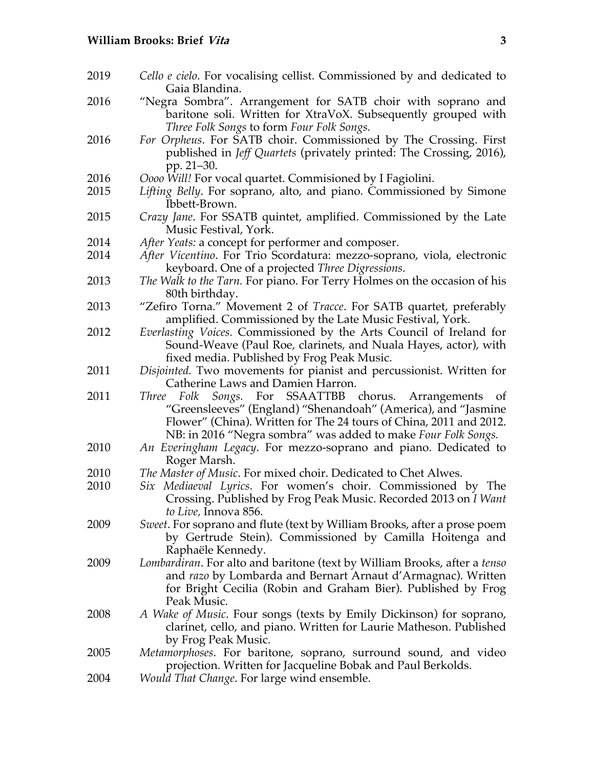- 2019 *Cello e cielo*. For vocalising cellist. Commissioned by and dedicated to Gaia Blandina.
- 2016 "Negra Sombra". Arrangement for SATB choir with soprano and baritone soli. Written for XtraVoX. Subsequently grouped with *Three Folk Songs* to form *Four Folk Songs.*
- 2016 *For Orpheus*. For SATB choir. Commissioned by The Crossing. First published in *Jeff Quartets* (privately printed: The Crossing, 2016), pp. 21–30.
- 2016 *Oooo Will!* For vocal quartet. Commisioned by I Fagiolini.
- 2015 *Lifting Belly*. For soprano, alto, and piano. Commissioned by Simone Ibbett-Brown.
- 2015 *Crazy Jane*. For SSATB quintet, amplified. Commissioned by the Late Music Festival, York.
- 2014 *After Yeats:* a concept for performer and composer.
- 2014 *After Vicentino*. For Trio Scordatura: mezzo-soprano, viola, electronic keyboard. One of a projected *Three Digressions*.
- 2013 *The Walk to the Tarn.* For piano. For Terry Holmes on the occasion of his 80th birthday.
- 2013 "Zefiro Torna." Movement 2 of *Tracce*. For SATB quartet, preferably amplified. Commissioned by the Late Music Festival, York.
- 2012 *Everlasting Voices.* Commissioned by the Arts Council of Ireland for Sound-Weave (Paul Roe, clarinets, and Nuala Hayes, actor), with fixed media. Published by Frog Peak Music.
- 2011 *Disjointed.* Two movements for pianist and percussionist. Written for Catherine Laws and Damien Harron.
- 2011 *Three Folk Songs.* For SSAATTBB chorus. Arrangements of "Greensleeves" (England) "Shenandoah" (America), and "Jasmine Flower" (China). Written for The 24 tours of China, 2011 and 2012. NB: in 2016 "Negra sombra" was added to make *Four Folk Songs.*
- 2010 *An Everingham Legacy*. For mezzo-soprano and piano. Dedicated to Roger Marsh.
- 2010 *The Master of Music*. For mixed choir. Dedicated to Chet Alwes.
- 2010 *Six Mediaeval Lyrics*. For women's choir. Commissioned by The Crossing. Published by Frog Peak Music. Recorded 2013 on *I Want to Live,* Innova 856.
- 2009 *Sweet*. For soprano and flute (text by William Brooks, after a prose poem by Gertrude Stein). Commissioned by Camilla Hoitenga and Raphaële Kennedy.
- 2009 *Lombardiran*. For alto and baritone (text by William Brooks, after a *tenso* and *razo* by Lombarda and Bernart Arnaut d'Armagnac). Written for Bright Cecilia (Robin and Graham Bier). Published by Frog Peak Music.
- 2008 *A Wake of Music*. Four songs (texts by Emily Dickinson) for soprano, clarinet, cello, and piano. Written for Laurie Matheson. Published by Frog Peak Music.
- 2005 *Metamorphoses*. For baritone, soprano, surround sound, and video projection. Written for Jacqueline Bobak and Paul Berkolds.
- 2004 *Would That Change*. For large wind ensemble.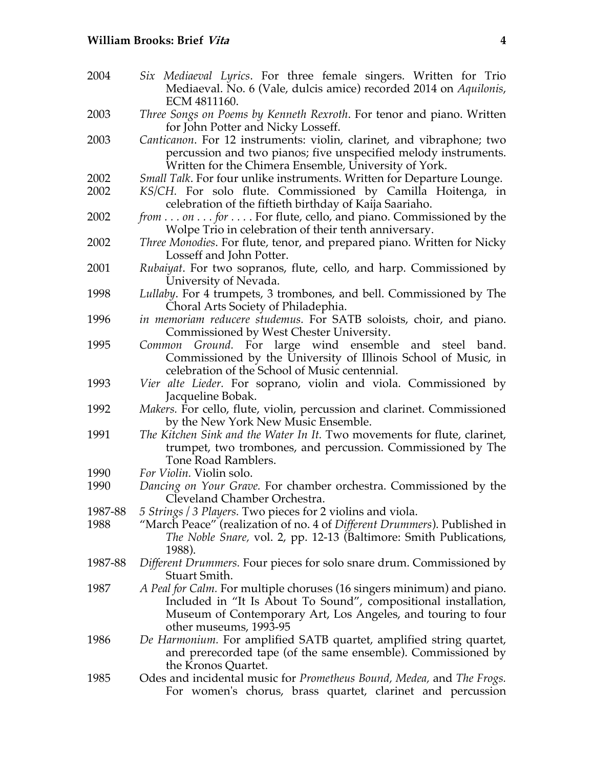2004 *Six Mediaeval Lyrics*. For three female singers. Written for Trio Mediaeval. No. 6 (Vale, dulcis amice) recorded 2014 on *Aquilonis*, ECM 4811160. 2003 *Three Songs on Poems by Kenneth Rexroth*. For tenor and piano. Written for John Potter and Nicky Losseff. 2003 *Canticanon*. For 12 instruments: violin, clarinet, and vibraphone; two percussion and two pianos; five unspecified melody instruments. Written for the Chimera Ensemble, University of York. 2002 *Small Talk*. For four unlike instruments. Written for Departure Lounge. 2002 *KS/CH.* For solo flute. Commissioned by Camilla Hoitenga, in celebration of the fiftieth birthday of Kaija Saariaho. 2002 *from . . . on . . . for . . .* . For flute, cello, and piano. Commissioned by the Wolpe Trio in celebration of their tenth anniversary. 2002 *Three Monodies*. For flute, tenor, and prepared piano. Written for Nicky Losseff and John Potter. 2001 *Rubaiyat*. For two sopranos, flute, cello, and harp. Commissioned by University of Nevada. 1998 *Lullaby*. For 4 trumpets, 3 trombones, and bell. Commissioned by The Choral Arts Society of Philadephia. 1996 *in memoriam reducere studemus.* For SATB soloists, choir, and piano. Commissioned by West Chester University. 1995 *Common Ground.* For large wind ensemble and steel band. Commissioned by the University of Illinois School of Music, in celebration of the School of Music centennial. 1993 *Vier alte Lieder.* For soprano, violin and viola. Commissioned by Jacqueline Bobak. 1992 *Makers.* For cello, flute, violin, percussion and clarinet. Commissioned by the New York New Music Ensemble. 1991 *The Kitchen Sink and the Water In It.* Two movements for flute, clarinet, trumpet, two trombones, and percussion. Commissioned by The Tone Road Ramblers. 1990 *For Violin.* Violin solo. 1990 *Dancing on Your Grave.* For chamber orchestra. Commissioned by the Cleveland Chamber Orchestra. 1987-88 *5 Strings / 3 Players.* Two pieces for 2 violins and viola. 1988 "March Peace" (realization of no. 4 of *Different Drummers*). Published in *The Noble Snare,* vol. 2, pp. 12-13 (Baltimore: Smith Publications, 1988). 1987-88 *Different Drummers.* Four pieces for solo snare drum. Commissioned by Stuart Smith. 1987 *A Peal for Calm.* For multiple choruses (16 singers minimum) and piano. Included in "It Is About To Sound", compositional installation, Museum of Contemporary Art, Los Angeles, and touring to four other museums, 1993-95 1986 *De Harmonium.* For amplified SATB quartet, amplified string quartet, and prerecorded tape (of the same ensemble). Commissioned by the Kronos Quartet. 1985 Odes and incidental music for *Prometheus Bound, Medea,* and *The Frogs.* For women's chorus, brass quartet, clarinet and percussion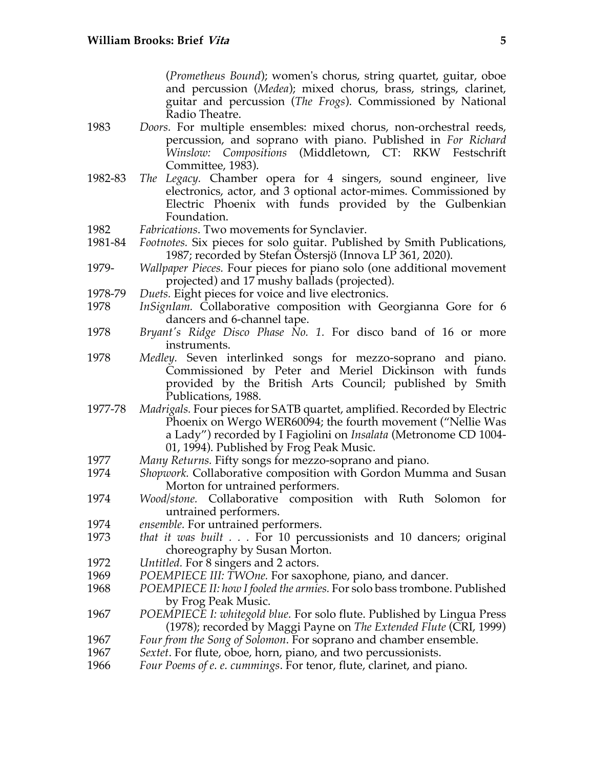(*Prometheus Bound*); women's chorus, string quartet, guitar, oboe and percussion (*Medea*); mixed chorus, brass, strings, clarinet, guitar and percussion (*The Frogs*). Commissioned by National Radio Theatre.

- 1983 *Doors.* For multiple ensembles: mixed chorus, non-orchestral reeds, percussion, and soprano with piano. Published in *For Richard Winslow: Compositions* (Middletown, CT: RKW Festschrift Committee, 1983).
- 1982-83 *The Legacy.* Chamber opera for 4 singers, sound engineer, live electronics, actor, and 3 optional actor-mimes. Commissioned by Electric Phoenix with funds provided by the Gulbenkian Foundation.
- 1982 *Fabrications*. Two movements for Synclavier.
- 1981-84 *Footnotes.* Six pieces for solo guitar. Published by Smith Publications, 1987; recorded by Stefan Östersjö (Innova LP 361, 2020).
- 1979- *Wallpaper Pieces.* Four pieces for piano solo (one additional movement projected) and 17 mushy ballads (projected).
- 1978-79 *Duets.* Eight pieces for voice and live electronics.
- 1978 *InSignIam.* Collaborative composition with Georgianna Gore for 6 dancers and 6-channel tape.
- 1978 *Bryant's Ridge Disco Phase No. 1.* For disco band of 16 or more instruments.
- 1978 *Medley.* Seven interlinked songs for mezzo-soprano and piano. Commissioned by Peter and Meriel Dickinson with funds provided by the British Arts Council; published by Smith Publications, 1988.
- 1977-78 *Madrigals.* Four pieces for SATB quartet, amplified. Recorded by Electric Phoenix on Wergo WER60094; the fourth movement ("Nellie Was a Lady") recorded by I Fagiolini on *Insalata* (Metronome CD 1004- 01, 1994). Published by Frog Peak Music.
- 1977 *Many Returns.* Fifty songs for mezzo-soprano and piano.
- 1974 *Shopwork.* Collaborative composition with Gordon Mumma and Susan Morton for untrained performers.
- 1974 *Wood/stone.* Collaborative composition with Ruth Solomon for untrained performers.
- 1974 *ensemble.* For untrained performers.
- 1973 *that it was built . . .* For 10 percussionists and 10 dancers; original choreography by Susan Morton.
- 1972 *Untitled.* For 8 singers and 2 actors.
- 1969 *POEMPIECE III: TWOne.* For saxophone, piano, and dancer.
- 1968 *POEMPIECE II: how I fooled the armies.* For solo bass trombone. Published by Frog Peak Music.
- 1967 *POEMPIECE I: whitegold blue.* For solo flute. Published by Lingua Press (1978); recorded by Maggi Payne on *The Extended Flute* (CRI, 1999)
- 1967 *Four from the Song of Solomon*. For soprano and chamber ensemble.
- 1967 *Sextet*. For flute, oboe, horn, piano, and two percussionists.
- 1966 *Four Poems of e. e. cummings*. For tenor, flute, clarinet, and piano.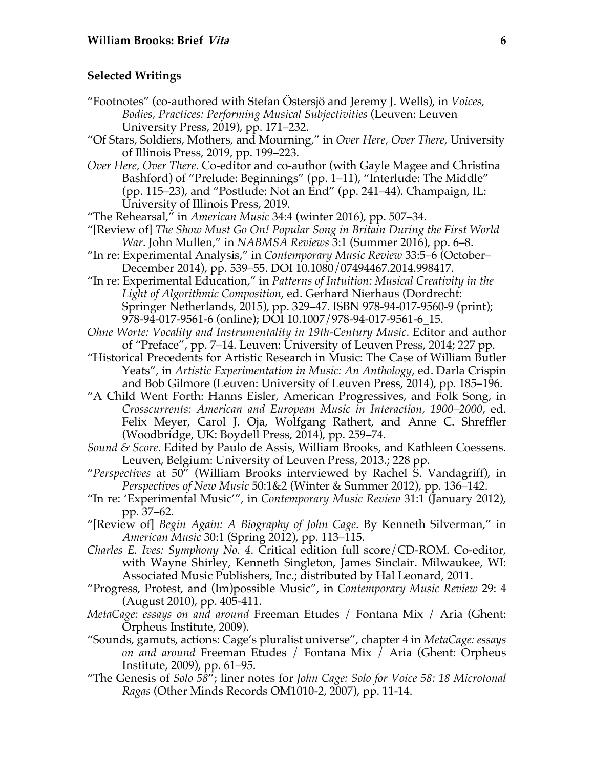### **Selected Writings**

- "Footnotes" (co-authored with Stefan Östersjö and Jeremy J. Wells), in *Voices, Bodies, Practices: Performing Musical Subjectivities* (Leuven: Leuven University Press, 2019), pp. 171–232.
- "Of Stars, Soldiers, Mothers, and Mourning," in *Over Here, Over There*, University of Illinois Press, 2019, pp. 199–223.
- *Over Here, Over There*. Co-editor and co-author (with Gayle Magee and Christina Bashford) of "Prelude: Beginnings" (pp. 1–11), "Interlude: The Middle" (pp. 115–23), and "Postlude: Not an End" (pp. 241–44). Champaign, IL: University of Illinois Press, 2019.
- "The Rehearsal," in *American Music* 34:4 (winter 2016), pp. 507–34.
- "[Review of] *The Show Must Go On! Popular Song in Britain During the First World War*. John Mullen," in *NABMSA Reviews* 3:1 (Summer 2016), pp. 6–8.
- "In re: Experimental Analysis," in *Contemporary Music Review* 33:5–6 (October– December 2014), pp. 539–55. DOI 10.1080/07494467.2014.998417.

"In re: Experimental Education," in *Patterns of Intuition: Musical Creativity in the Light of Algorithmic Composition*, ed. Gerhard Nierhaus (Dordrecht: Springer Netherlands, 2015), pp. 329–47. ISBN 978-94-017-9560-9 (print); 978-94-017-9561-6 (online); DOI 10.1007/978-94-017-9561-6\_15.

- *Ohne Worte: Vocality and Instrumentality in 19th-Century Music*. Editor and author of "Preface", pp. 7–14. Leuven: University of Leuven Press, 2014; 227 pp.
- "Historical Precedents for Artistic Research in Music: The Case of William Butler Yeats", in *Artistic Experimentation in Music: An Anthology*, ed. Darla Crispin and Bob Gilmore (Leuven: University of Leuven Press, 2014), pp. 185–196.
- "A Child Went Forth: Hanns Eisler, American Progressives, and Folk Song, in *Crosscurrents: American and European Music in Interaction, 1900–2000*, ed. Felix Meyer, Carol J. Oja, Wolfgang Rathert, and Anne C. Shreffler (Woodbridge, UK: Boydell Press, 2014), pp. 259–74.
- *Sound & Score*. Edited by Paulo de Assis, William Brooks, and Kathleen Coessens. Leuven, Belgium: University of Leuven Press, 2013.; 228 pp.
- "*Perspectives* at 50" (William Brooks interviewed by Rachel S. Vandagriff), in *Perspectives of New Music* 50:1&2 (Winter & Summer 2012), pp. 136–142.
- "In re: 'Experimental Music'", in *Contemporary Music Review* 31:1 (January 2012), pp. 37–62.
- "[Review of] *Begin Again: A Biography of John Cage*. By Kenneth Silverman," in *American Music* 30:1 (Spring 2012), pp. 113–115.
- *Charles E. Ives: Symphony No. 4*. Critical edition full score/CD-ROM. Co-editor, with Wayne Shirley, Kenneth Singleton, James Sinclair. Milwaukee, WI: Associated Music Publishers, Inc.; distributed by Hal Leonard, 2011.
- "Progress, Protest, and (Im)possible Music", in *Contemporary Music Review* 29: 4 (August 2010), pp. 405-411.
- *MetaCage: essays on and around* Freeman Etudes / Fontana Mix / Aria (Ghent: Orpheus Institute, 2009).
- "Sounds, gamuts, actions: Cage's pluralist universe", chapter 4 in *MetaCage: essays on and around* Freeman Etudes / Fontana Mix / Aria (Ghent: Orpheus Institute, 2009), pp. 61–95.
- "The Genesis of *Solo 58*"; liner notes for *John Cage: Solo for Voice 58: 18 Microtonal Ragas* (Other Minds Records OM1010-2, 2007), pp. 11-14.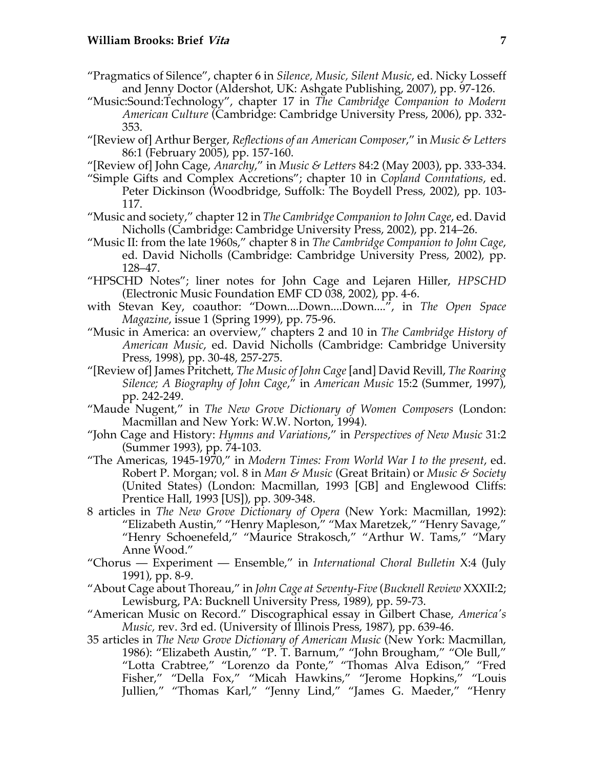- "Pragmatics of Silence", chapter 6 in *Silence, Music, Silent Music*, ed. Nicky Losseff and Jenny Doctor (Aldershot, UK: Ashgate Publishing, 2007), pp. 97-126.
- "Music:Sound:Technology", chapter 17 in *The Cambridge Companion to Modern American Culture* (Cambridge: Cambridge University Press, 2006), pp. 332- 353.
- "[Review of] Arthur Berger, *Reflections of an American Composer*," in *Music & Letters* 86:1 (February 2005), pp. 157-160.
- "[Review of] John Cage, *Anarchy*," in *Music & Letters* 84:2 (May 2003), pp. 333-334.
- "Simple Gifts and Complex Accretions"; chapter 10 in *Copland Conntations*, ed. Peter Dickinson (Woodbridge, Suffolk: The Boydell Press, 2002), pp. 103- 117.
- "Music and society," chapter 12 in *The Cambridge Companion to John Cage*, ed. David Nicholls (Cambridge: Cambridge University Press, 2002), pp. 214–26.
- "Music II: from the late 1960s," chapter 8 in *The Cambridge Companion to John Cage*, ed. David Nicholls (Cambridge: Cambridge University Press, 2002), pp. 128–47.
- "HPSCHD Notes"; liner notes for John Cage and Lejaren Hiller, *HPSCHD* (Electronic Music Foundation EMF CD 038, 2002), pp. 4-6.
- with Stevan Key, coauthor: "Down....Down....Down....", in *The Open Space Magazine*, issue 1 (Spring 1999), pp. 75-96.
- "Music in America: an overview," chapters 2 and 10 in *The Cambridge History of American Music*, ed. David Nicholls (Cambridge: Cambridge University Press, 1998), pp. 30-48, 257-275.
- "[Review of] James Pritchett, *The Music of John Cage* [and] David Revill, *The Roaring Silence; A Biography of John Cage*," in *American Music* 15:2 (Summer, 1997), pp. 242-249.
- "Maude Nugent," in *The New Grove Dictionary of Women Composers* (London: Macmillan and New York: W.W. Norton, 1994).
- "John Cage and History: *Hymns and Variations*," in *Perspectives of New Music* 31:2 (Summer 1993), pp. 74-103.
- "The Americas, 1945-1970," in *Modern Times: From World War I to the present*, ed. Robert P. Morgan; vol. 8 in *Man & Music* (Great Britain) or *Music & Society* (United States) (London: Macmillan, 1993 [GB] and Englewood Cliffs: Prentice Hall, 1993 [US]), pp. 309-348.
- 8 articles in *The New Grove Dictionary of Opera* (New York: Macmillan, 1992): "Elizabeth Austin," "Henry Mapleson," "Max Maretzek," "Henry Savage," "Henry Schoenefeld," "Maurice Strakosch," "Arthur W. Tams," "Mary Anne Wood."
- "Chorus Experiment Ensemble," in *International Choral Bulletin* X:4 (July 1991), pp. 8-9.
- "About Cage about Thoreau," in *John Cage at Seventy-Five* (*Bucknell Review* XXXII:2; Lewisburg, PA: Bucknell University Press, 1989), pp. 59-73.
- "American Music on Record." Discographical essay in Gilbert Chase, *America's Music,* rev. 3rd ed. (University of Illinois Press, 1987), pp. 639-46.
- 35 articles in *The New Grove Dictionary of American Music* (New York: Macmillan, 1986): "Elizabeth Austin," "P. T. Barnum," "John Brougham," "Ole Bull," "Lotta Crabtree," "Lorenzo da Ponte," "Thomas Alva Edison," "Fred Fisher," "Della Fox," "Micah Hawkins," "Jerome Hopkins," "Louis Jullien," "Thomas Karl," "Jenny Lind," "James G. Maeder," "Henry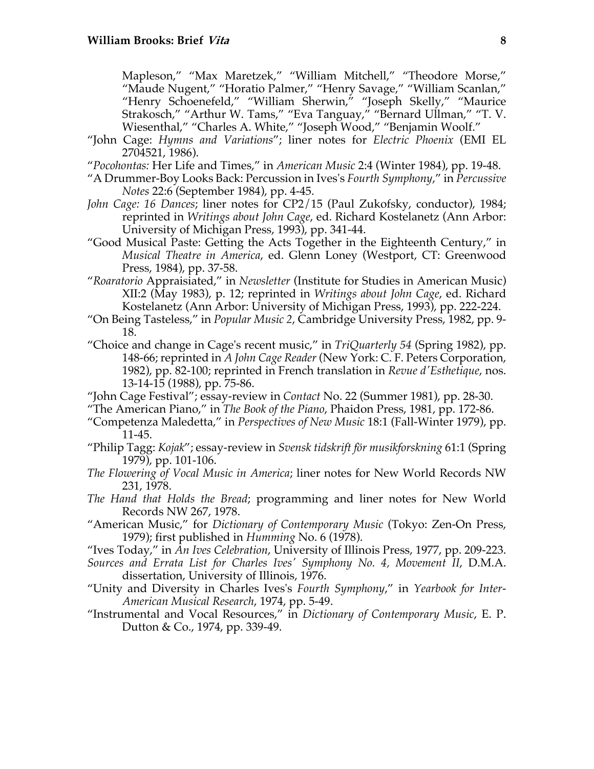Mapleson," "Max Maretzek," "William Mitchell," "Theodore Morse," "Maude Nugent," "Horatio Palmer," "Henry Savage," "William Scanlan," "Henry Schoenefeld," "William Sherwin," "Joseph Skelly," "Maurice Strakosch," "Arthur W. Tams," "Eva Tanguay," "Bernard Ullman," "T. V. Wiesenthal," "Charles A. White," "Joseph Wood," "Benjamin Woolf."

- "John Cage: *Hymns and Variations*"; liner notes for *Electric Phoenix* (EMI EL 2704521, 1986).
- "*Pocohontas:* Her Life and Times," in *American Music* 2:4 (Winter 1984), pp. 19-48.
- "A Drummer-Boy Looks Back: Percussion in Ives's *Fourth Symphony*," in *Percussive Notes* 22:6 (September 1984), pp. 4-45.
- *John Cage: 16 Dances*; liner notes for CP2/15 (Paul Zukofsky, conductor), 1984; reprinted in *Writings about John Cage*, ed. Richard Kostelanetz (Ann Arbor: University of Michigan Press, 1993), pp. 341-44.
- "Good Musical Paste: Getting the Acts Together in the Eighteenth Century," in *Musical Theatre in America*, ed. Glenn Loney (Westport, CT: Greenwood Press, 1984), pp. 37-58.
- "*Roaratorio* Appraisiated," in *Newsletter* (Institute for Studies in American Music) XII:2 (May 1983), p. 12; reprinted in *Writings about John Cage*, ed. Richard Kostelanetz (Ann Arbor: University of Michigan Press, 1993), pp. 222-224.
- "On Being Tasteless," in *Popular Music 2*, Cambridge University Press, 1982, pp. 9- 18.
- "Choice and change in Cage's recent music," in *TriQuarterly 54* (Spring 1982), pp. 148-66; reprinted in *A John Cage Reader* (New York: C. F. Peters Corporation, 1982), pp. 82-100; reprinted in French translation in *Revue d'Esthetique*, nos. 13-14-15 (1988), pp. 75-86.
- "John Cage Festival"; essay-review in *Contact* No. 22 (Summer 1981), pp. 28-30.
- "The American Piano," in *The Book of the Piano*, Phaidon Press, 1981, pp. 172-86.
- "Competenza Maledetta," in *Perspectives of New Music* 18:1 (Fall-Winter 1979), pp. 11-45.
- "Philip Tagg: *Kojak*"; essay-review in *Svensk tidskrift för musikforskning* 61:1 (Spring 1979), pp. 101-106.
- *The Flowering of Vocal Music in America*; liner notes for New World Records NW 231, 1978.
- *The Hand that Holds the Bread*; programming and liner notes for New World Records NW 267, 1978.
- "American Music," for *Dictionary of Contemporary Music* (Tokyo: Zen-On Press, 1979); first published in *Humming* No. 6 (1978).
- "Ives Today," in *An Ives Celebration*, University of Illinois Press, 1977, pp. 209-223.
- *Sources and Errata List for Charles Ives' Symphony No. 4, Movement II*, D.M.A. dissertation, University of Illinois, 1976.
- "Unity and Diversity in Charles Ives's *Fourth Symphony*," in *Yearbook for Inter-American Musical Research*, 1974, pp. 5-49.
- "Instrumental and Vocal Resources," in *Dictionary of Contemporary Music*, E. P. Dutton & Co., 1974, pp. 339-49.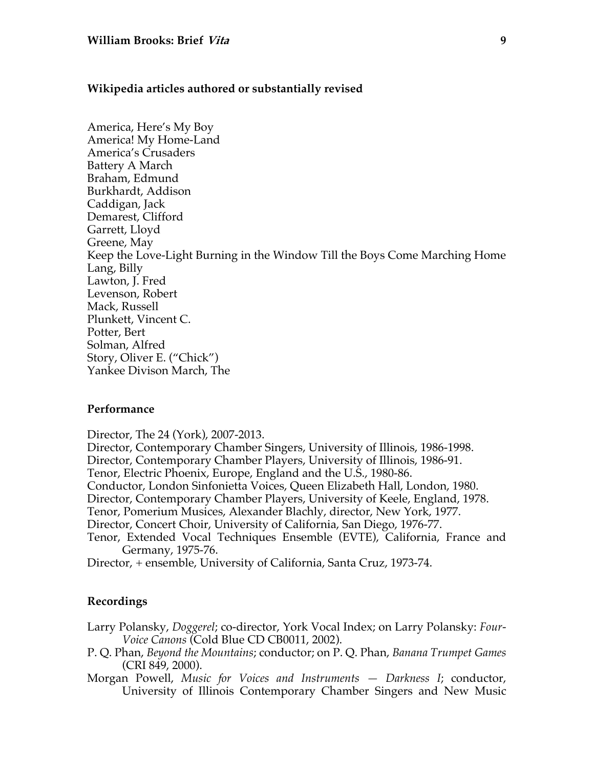#### **Wikipedia articles authored or substantially revised**

America, Here's My Boy America! My Home-Land America's Crusaders Battery A March Braham, Edmund Burkhardt, Addison Caddigan, Jack Demarest, Clifford Garrett, Lloyd Greene, May Keep the Love-Light Burning in the Window Till the Boys Come Marching Home Lang, Billy Lawton, J. Fred Levenson, Robert Mack, Russell Plunkett, Vincent C. Potter, Bert Solman, Alfred Story, Oliver E. ("Chick") Yankee Divison March, The

#### **Performance**

Director, The 24 (York), 2007-2013.

Director, Contemporary Chamber Singers, University of Illinois, 1986-1998. Director, Contemporary Chamber Players, University of Illinois, 1986-91.

Tenor, Electric Phoenix, Europe, England and the U.S., 1980-86.

Conductor, London Sinfonietta Voices, Queen Elizabeth Hall, London, 1980.

Director, Contemporary Chamber Players, University of Keele, England, 1978.

Tenor, Pomerium Musices, Alexander Blachly, director, New York, 1977.

Director, Concert Choir, University of California, San Diego, 1976-77.

Tenor, Extended Vocal Techniques Ensemble (EVTE), California, France and Germany, 1975-76.

Director, + ensemble, University of California, Santa Cruz, 1973-74.

### **Recordings**

Larry Polansky, *Doggerel*; co-director, York Vocal Index; on Larry Polansky: *Four-Voice Canons* (Cold Blue CD CB0011, 2002).

- P. Q. Phan, *Beyond the Mountains*; conductor; on P. Q. Phan, *Banana Trumpet Games* (CRI 849, 2000).
- Morgan Powell, *Music for Voices and Instruments — Darkness I*; conductor, University of Illinois Contemporary Chamber Singers and New Music